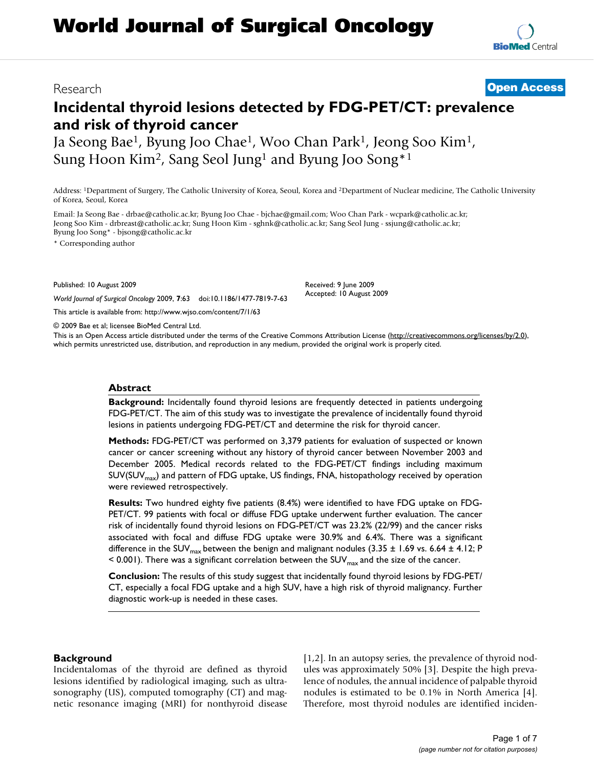# **Incidental thyroid lesions detected by FDG-PET/CT: prevalence and risk of thyroid cancer**

Ja Seong Bae1, Byung Joo Chae1, Woo Chan Park1, Jeong Soo Kim1, Sung Hoon Kim2, Sang Seol Jung1 and Byung Joo Song\*1

Address: 1Department of Surgery, The Catholic University of Korea, Seoul, Korea and 2Department of Nuclear medicine, The Catholic University of Korea, Seoul, Korea

Email: Ja Seong Bae - drbae@catholic.ac.kr; Byung Joo Chae - bjchae@gmail.com; Woo Chan Park - wcpark@catholic.ac.kr; Jeong Soo Kim - drbreast@catholic.ac.kr; Sung Hoon Kim - sghnk@catholic.ac.kr; Sang Seol Jung - ssjung@catholic.ac.kr; Byung Joo Song\* - bjsong@catholic.ac.kr

\* Corresponding author

Published: 10 August 2009

*World Journal of Surgical Oncology* 2009, **7**:63 doi:10.1186/1477-7819-7-63 [This article is available from: http://www.wjso.com/content/7/1/63](http://www.wjso.com/content/7/1/63)

© 2009 Bae et al; licensee BioMed Central Ltd.

This is an Open Access article distributed under the terms of the Creative Commons Attribution License [\(http://creativecommons.org/licenses/by/2.0\)](http://creativecommons.org/licenses/by/2.0), which permits unrestricted use, distribution, and reproduction in any medium, provided the original work is properly cited.

#### **Abstract**

**Background:** Incidentally found thyroid lesions are frequently detected in patients undergoing FDG-PET/CT. The aim of this study was to investigate the prevalence of incidentally found thyroid lesions in patients undergoing FDG-PET/CT and determine the risk for thyroid cancer.

**Methods:** FDG-PET/CT was performed on 3,379 patients for evaluation of suspected or known cancer or cancer screening without any history of thyroid cancer between November 2003 and December 2005. Medical records related to the FDG-PET/CT findings including maximum SUV(SUV<sub>max</sub>) and pattern of FDG uptake, US findings, FNA, histopathology received by operation were reviewed retrospectively.

**Results:** Two hundred eighty five patients (8.4%) were identified to have FDG uptake on FDG-PET/CT. 99 patients with focal or diffuse FDG uptake underwent further evaluation. The cancer risk of incidentally found thyroid lesions on FDG-PET/CT was 23.2% (22/99) and the cancer risks associated with focal and diffuse FDG uptake were 30.9% and 6.4%. There was a significant difference in the SUV<sub>max</sub> between the benign and malignant nodules (3.35  $\pm$  1.69 vs. 6.64  $\pm$  4.12; P  $\leq$  0.001). There was a significant correlation between the SUV<sub>max</sub> and the size of the cancer.

**Conclusion:** The results of this study suggest that incidentally found thyroid lesions by FDG-PET/ CT, especially a focal FDG uptake and a high SUV, have a high risk of thyroid malignancy. Further diagnostic work-up is needed in these cases.

#### **Background**

Incidentalomas of the thyroid are defined as thyroid lesions identified by radiological imaging, such as ultrasonography (US), computed tomography (CT) and magnetic resonance imaging (MRI) for nonthyroid disease [1,2]. In an autopsy series, the prevalence of thyroid nodules was approximately 50% [3]. Despite the high prevalence of nodules, the annual incidence of palpable thyroid nodules is estimated to be 0.1% in North America [4]. Therefore, most thyroid nodules are identified inciden-

## Research **[Open Access](http://www.biomedcentral.com/info/about/charter/)**

Received: 9 June 2009 Accepted: 10 August 2009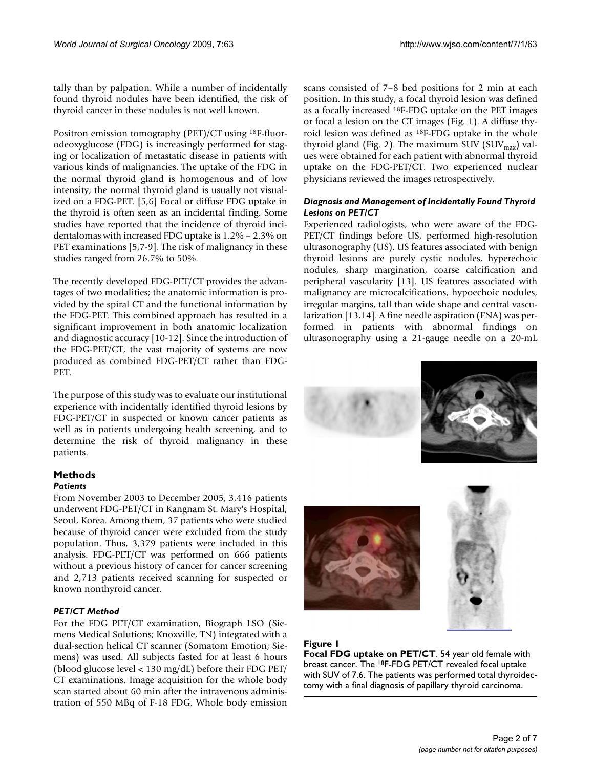tally than by palpation. While a number of incidentally found thyroid nodules have been identified, the risk of thyroid cancer in these nodules is not well known.

Positron emission tomography (PET)/CT using 18F-fluorodeoxyglucose (FDG) is increasingly performed for staging or localization of metastatic disease in patients with various kinds of malignancies. The uptake of the FDG in the normal thyroid gland is homogenous and of low intensity; the normal thyroid gland is usually not visualized on a FDG-PET. [5,6] Focal or diffuse FDG uptake in the thyroid is often seen as an incidental finding. Some studies have reported that the incidence of thyroid incidentalomas with increased FDG uptake is 1.2% – 2.3% on PET examinations [5,7-9]. The risk of malignancy in these studies ranged from 26.7% to 50%.

The recently developed FDG-PET/CT provides the advantages of two modalities; the anatomic information is provided by the spiral CT and the functional information by the FDG-PET. This combined approach has resulted in a significant improvement in both anatomic localization and diagnostic accuracy [10-12]. Since the introduction of the FDG-PET/CT, the vast majority of systems are now produced as combined FDG-PET/CT rather than FDG-PET.

The purpose of this study was to evaluate our institutional experience with incidentally identified thyroid lesions by FDG-PET/CT in suspected or known cancer patients as well as in patients undergoing health screening, and to determine the risk of thyroid malignancy in these patients.

## **Methods**

### *Patients*

From November 2003 to December 2005, 3,416 patients underwent FDG-PET/CT in Kangnam St. Mary's Hospital, Seoul, Korea. Among them, 37 patients who were studied because of thyroid cancer were excluded from the study population. Thus, 3,379 patients were included in this analysis. FDG-PET/CT was performed on 666 patients without a previous history of cancer for cancer screening and 2,713 patients received scanning for suspected or known nonthyroid cancer.

### *PET/CT Method*

For the FDG PET/CT examination, Biograph LSO (Siemens Medical Solutions; Knoxville, TN) integrated with a dual-section helical CT scanner (Somatom Emotion; Siemens) was used. All subjects fasted for at least 6 hours (blood glucose level < 130 mg/dL) before their FDG PET/ CT examinations. Image acquisition for the whole body scan started about 60 min after the intravenous administration of 550 MBq of F-18 FDG. Whole body emission

scans consisted of 7–8 bed positions for 2 min at each position. In this study, a focal thyroid lesion was defined as a focally increased 18F-FDG uptake on the PET images or focal a lesion on the CT images (Fig. 1). A diffuse thyroid lesion was defined as 18F-FDG uptake in the whole thyroid gland (Fig. 2). The maximum SUV (SUV $_{\text{max}}$ ) values were obtained for each patient with abnormal thyroid uptake on the FDG-PET/CT. Two experienced nuclear physicians reviewed the images retrospectively.

### *Diagnosis and Management of Incidentally Found Thyroid Lesions on PET/CT*

Experienced radiologists, who were aware of the FDG-PET/CT findings before US, performed high-resolution ultrasonography (US). US features associated with benign thyroid lesions are purely cystic nodules, hyperechoic nodules, sharp margination, coarse calcification and peripheral vascularity [13]. US features associated with malignancy are microcalcifications, hypoechoic nodules, irregular margins, tall than wide shape and central vascularization [13,14]. A fine needle aspiration (FNA) was performed in patients with abnormal findings on ultrasonography using a 21-gauge needle on a 20-mL



### **Figure 1**

**Focal FDG uptake on PET/CT**. 54 year old female with breast cancer. The 18F-FDG PET/CT revealed focal uptake with SUV of 7.6. The patients was performed total thyroidectomy with a final diagnosis of papillary thyroid carcinoma.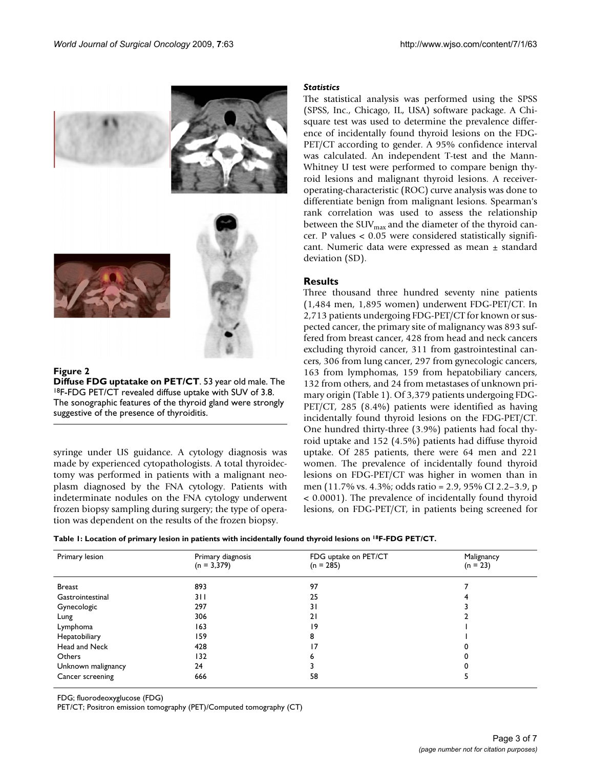

#### **Figure 2**

**Diffuse FDG uptatake on PET/CT**. 53 year old male. The 18F-FDG PET/CT revealed diffuse uptake with SUV of 3.8. The sonographic features of the thyroid gland were strongly suggestive of the presence of thyroiditis.

syringe under US guidance. A cytology diagnosis was made by experienced cytopathologists. A total thyroidectomy was performed in patients with a malignant neoplasm diagnosed by the FNA cytology. Patients with indeterminate nodules on the FNA cytology underwent frozen biopsy sampling during surgery; the type of operation was dependent on the results of the frozen biopsy.

#### *Statistics*

The statistical analysis was performed using the SPSS (SPSS, Inc., Chicago, IL, USA) software package. A Chisquare test was used to determine the prevalence difference of incidentally found thyroid lesions on the FDG-PET/CT according to gender. A 95% confidence interval was calculated. An independent T-test and the Mann-Whitney U test were performed to compare benign thyroid lesions and malignant thyroid lesions. A receiveroperating-characteristic (ROC) curve analysis was done to differentiate benign from malignant lesions. Spearman's rank correlation was used to assess the relationship between the SUV $_{\text{max}}$  and the diameter of the thyroid cancer. P values < 0.05 were considered statistically significant. Numeric data were expressed as mean ± standard deviation (SD).

#### **Results**

Three thousand three hundred seventy nine patients (1,484 men, 1,895 women) underwent FDG-PET/CT. In 2,713 patients undergoing FDG-PET/CT for known or suspected cancer, the primary site of malignancy was 893 suffered from breast cancer, 428 from head and neck cancers excluding thyroid cancer, 311 from gastrointestinal cancers, 306 from lung cancer, 297 from gynecologic cancers, 163 from lymphomas, 159 from hepatobiliary cancers, 132 from others, and 24 from metastases of unknown primary origin (Table 1). Of 3,379 patients undergoing FDG-PET/CT, 285 (8.4%) patients were identified as having incidentally found thyroid lesions on the FDG-PET/CT. One hundred thirty-three (3.9%) patients had focal thyroid uptake and 152 (4.5%) patients had diffuse thyroid uptake. Of 285 patients, there were 64 men and 221 women. The prevalence of incidentally found thyroid lesions on FDG-PET/CT was higher in women than in men (11.7% vs. 4.3%; odds ratio = 2.9, 95% CI 2.2–3.9, p < 0.0001). The prevalence of incidentally found thyroid lesions, on FDG-PET/CT, in patients being screened for

|  |  |  | Table I: Location of primary lesion in patients with incidentally found thyroid lesions on <sup>18</sup> F-FDG PET/CT. |  |
|--|--|--|------------------------------------------------------------------------------------------------------------------------|--|
|--|--|--|------------------------------------------------------------------------------------------------------------------------|--|

| Primary lesion     | Primary diagnosis | FDG uptake on PET/CT | Malignancy |  |
|--------------------|-------------------|----------------------|------------|--|
|                    | $(n = 3,379)$     | $(n = 285)$          | $(n = 23)$ |  |
|                    |                   |                      |            |  |
| Breast             | 893               | 97                   |            |  |
| Gastrointestinal   | 311               | 25                   |            |  |
| Gynecologic        | 297               | 31                   |            |  |
| Lung               | 306               | 21                   |            |  |
| Lymphoma           | 163               | 19                   |            |  |
| Hepatobiliary      | 159               | 8                    |            |  |
| Head and Neck      | 428               | 17                   |            |  |
| Others             | 132               |                      |            |  |
| Unknown malignancy | 24                |                      |            |  |
| Cancer screening   | 666               | 58                   |            |  |

FDG; fluorodeoxyglucose (FDG)

PET/CT; Positron emission tomography (PET)/Computed tomography (CT)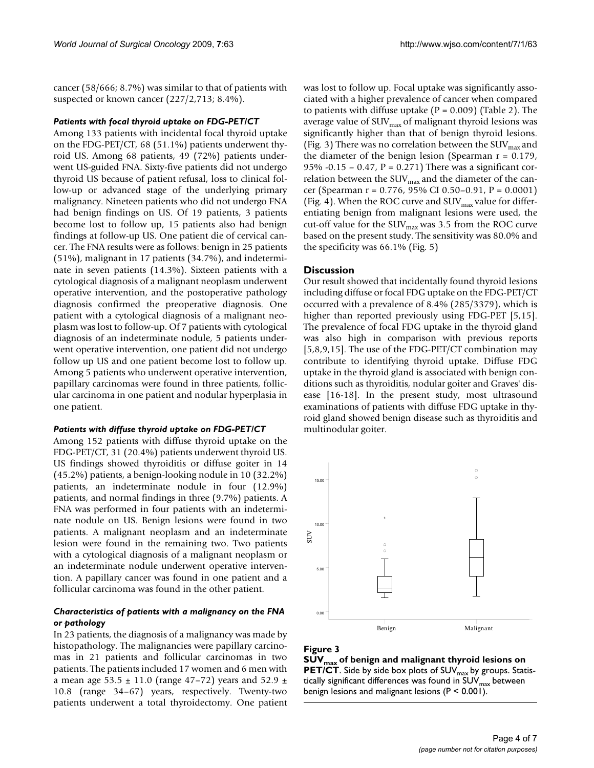cancer (58/666; 8.7%) was similar to that of patients with suspected or known cancer (227/2,713; 8.4%).

#### *Patients with focal thyroid uptake on FDG-PET/CT*

Among 133 patients with incidental focal thyroid uptake on the FDG-PET/CT, 68 (51.1%) patients underwent thyroid US. Among 68 patients, 49 (72%) patients underwent US-guided FNA. Sixty-five patients did not undergo thyroid US because of patient refusal, loss to clinical follow-up or advanced stage of the underlying primary malignancy. Nineteen patients who did not undergo FNA had benign findings on US. Of 19 patients, 3 patients become lost to follow up, 15 patients also had benign findings at follow-up US. One patient die of cervical cancer. The FNA results were as follows: benign in 25 patients (51%), malignant in 17 patients (34.7%), and indeterminate in seven patients (14.3%). Sixteen patients with a cytological diagnosis of a malignant neoplasm underwent operative intervention, and the postoperative pathology diagnosis confirmed the preoperative diagnosis. One patient with a cytological diagnosis of a malignant neoplasm was lost to follow-up. Of 7 patients with cytological diagnosis of an indeterminate nodule, 5 patients underwent operative intervention, one patient did not undergo follow up US and one patient become lost to follow up. Among 5 patients who underwent operative intervention, papillary carcinomas were found in three patients, follicular carcinoma in one patient and nodular hyperplasia in one patient.

#### *Patients with diffuse thyroid uptake on FDG-PET/CT*

Among 152 patients with diffuse thyroid uptake on the FDG-PET/CT, 31 (20.4%) patients underwent thyroid US. US findings showed thyroiditis or diffuse goiter in 14 (45.2%) patients, a benign-looking nodule in 10 (32.2%) patients, an indeterminate nodule in four (12.9%) patients, and normal findings in three (9.7%) patients. A FNA was performed in four patients with an indeterminate nodule on US. Benign lesions were found in two patients. A malignant neoplasm and an indeterminate lesion were found in the remaining two. Two patients with a cytological diagnosis of a malignant neoplasm or an indeterminate nodule underwent operative intervention. A papillary cancer was found in one patient and a follicular carcinoma was found in the other patient.

#### *Characteristics of patients with a malignancy on the FNA or pathology*

In 23 patients, the diagnosis of a malignancy was made by histopathology. The malignancies were papillary carcinomas in 21 patients and follicular carcinomas in two patients. The patients included 17 women and 6 men with a mean age  $53.5 \pm 11.0$  (range 47–72) years and  $52.9 \pm 11.0$ 10.8 (range 34–67) years, respectively. Twenty-two patients underwent a total thyroidectomy. One patient

was lost to follow up. Focal uptake was significantly associated with a higher prevalence of cancer when compared to patients with diffuse uptake  $(P = 0.009)$  (Table 2). The average value of  $\text{SUV}_{\text{max}}$  of malignant thyroid lesions was significantly higher than that of benign thyroid lesions. (Fig. 3) There was no correlation between the SUV $_{\text{max}}$  and the diameter of the benign lesion (Spearman  $r = 0.179$ , 95% -0.15 – 0.47,  $P = 0.271$ ) There was a significant correlation between the  $\text{SUV}_{\text{max}}$  and the diameter of the cancer (Spearman r = 0.776, 95% CI 0.50–0.91, P = 0.0001) (Fig. 4). When the ROC curve and  $\text{SUV}_{\text{max}}$  value for differentiating benign from malignant lesions were used, the cut-off value for the  $\text{SUV}_{\text{max}}$  was 3.5 from the ROC curve based on the present study. The sensitivity was 80.0% and the specificity was 66.1% (Fig. 5)

#### **Discussion**

Our result showed that incidentally found thyroid lesions including diffuse or focal FDG uptake on the FDG-PET/CT occurred with a prevalence of 8.4% (285/3379), which is higher than reported previously using FDG-PET [5,15]. The prevalence of focal FDG uptake in the thyroid gland was also high in comparison with previous reports [5,8,9,15]. The use of the FDG-PET/CT combination may contribute to identifying thyroid uptake. Diffuse FDG uptake in the thyroid gland is associated with benign conditions such as thyroiditis, nodular goiter and Graves' disease [16-18]. In the present study, most ultrasound examinations of patients with diffuse FDG uptake in thyroid gland showed benign disease such as thyroiditis and multinodular goiter.



## **Figure 3** SUVMAX of benign and malignant the benign and malignant the benign and malignant the  $\mathcal{L}(T)$

**SUVmax of benign and malignant thyroid lesions on PET/CT**. Side by side box plots of SUV<sub>max</sub> by groups. Statistically significant differences was found in  $\mathsf{SUV}_\mathsf{max}$  between benign lesions and malignant lesions (P < 0.001).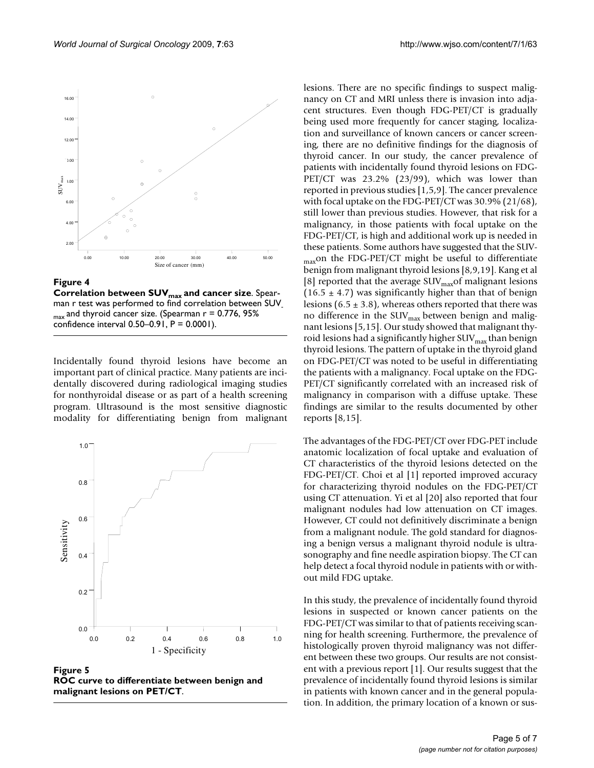

Figure 4

**Correlation between SUV<sub>max</sub> and cancer size. Spear**man r test was performed to find correlation between SUV- $_{max}$  and thyroid cancer size. (Spearman  $r = 0.776$ , 95% confidence interval 0.50–0.91, P = 0.0001).

Incidentally found thyroid lesions have become an important part of clinical practice. Many patients are incidentally discovered during radiological imaging studies for nonthyroidal disease or as part of a health screening program. Ultrasound is the most sensitive diagnostic modality for differentiating benign from malignant



**Figure 5 ROC curve to differentiate between benign and malignant lesions on PET/CT**.

lesions. There are no specific findings to suspect malignancy on CT and MRI unless there is invasion into adjacent structures. Even though FDG-PET/CT is gradually being used more frequently for cancer staging, localization and surveillance of known cancers or cancer screening, there are no definitive findings for the diagnosis of thyroid cancer. In our study, the cancer prevalence of patients with incidentally found thyroid lesions on FDG-PET/CT was 23.2% (23/99), which was lower than reported in previous studies [1,5,9]. The cancer prevalence with focal uptake on the FDG-PET/CT was 30.9% (21/68), still lower than previous studies. However, that risk for a malignancy, in those patients with focal uptake on the FDG-PET/CT, is high and additional work up is needed in these patients. Some authors have suggested that the SUV-<sub>max</sub>on the FDG-PET/CT might be useful to differentiate benign from malignant thyroid lesions [8,9,19]. Kang et al [8] reported that the average SUV $_{\text{max}}$ of malignant lesions  $(16.5 \pm 4.7)$  was significantly higher than that of benign lesions  $(6.5 \pm 3.8)$ , whereas others reported that there was no difference in the SUV<sub>max</sub> between benign and malignant lesions [5,15]. Our study showed that malignant thyroid lesions had a significantly higher  $\text{SUV}_{\text{max}}$  than benign thyroid lesions. The pattern of uptake in the thyroid gland on FDG-PET/CT was noted to be useful in differentiating the patients with a malignancy. Focal uptake on the FDG-PET/CT significantly correlated with an increased risk of malignancy in comparison with a diffuse uptake. These findings are similar to the results documented by other reports [8,15].

The advantages of the FDG-PET/CT over FDG-PET include anatomic localization of focal uptake and evaluation of CT characteristics of the thyroid lesions detected on the FDG-PET/CT. Choi et al [1] reported improved accuracy for characterizing thyroid nodules on the FDG-PET/CT using CT attenuation. Yi et al [20] also reported that four malignant nodules had low attenuation on CT images. However, CT could not definitively discriminate a benign from a malignant nodule. The gold standard for diagnosing a benign versus a malignant thyroid nodule is ultrasonography and fine needle aspiration biopsy. The CT can help detect a focal thyroid nodule in patients with or without mild FDG uptake.

In this study, the prevalence of incidentally found thyroid lesions in suspected or known cancer patients on the FDG-PET/CT was similar to that of patients receiving scanning for health screening. Furthermore, the prevalence of histologically proven thyroid malignancy was not different between these two groups. Our results are not consistent with a previous report [1]. Our results suggest that the prevalence of incidentally found thyroid lesions is similar in patients with known cancer and in the general population. In addition, the primary location of a known or sus-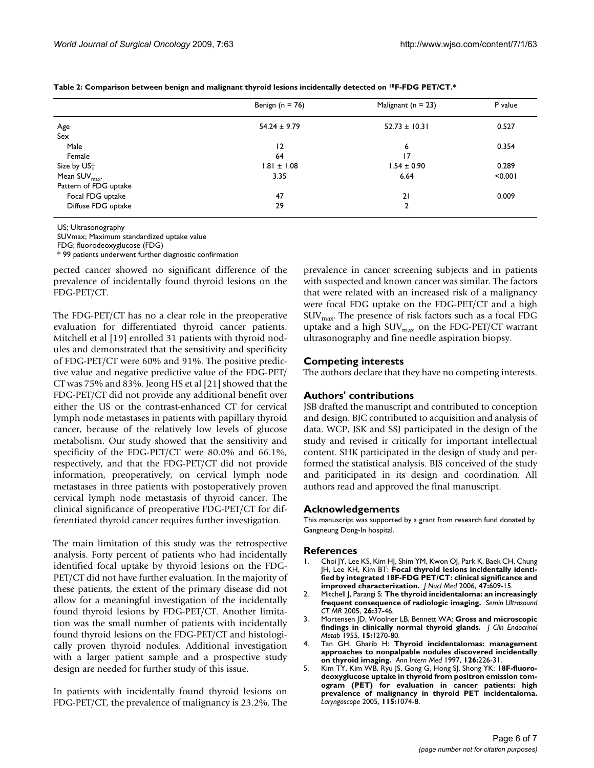|                           | Benign ( $n = 76$ ) | Malignant ( $n = 23$ ) | P value |
|---------------------------|---------------------|------------------------|---------|
| Age                       | $54.24 \pm 9.79$    | $52.73 \pm 10.31$      | 0.527   |
| Sex                       |                     |                        |         |
| Male                      | 12                  | 6                      | 0.354   |
| Female                    | 64                  | $\overline{17}$        |         |
| Size by US <sup>+</sup>   | $1.81 \pm 1.08$     | $1.54 \pm 0.90$        | 0.289   |
| Mean $SUV_{\text{max}}$ . | 3.35                | 6.64                   | < 0.001 |
| Pattern of FDG uptake     |                     |                        |         |
| Focal FDG uptake          | 47                  | 21                     | 0.009   |
| Diffuse FDG uptake        | 29                  | 2                      |         |

**Table 2: Comparison between benign and malignant thyroid lesions incidentally detected on 18F-FDG PET/CT.\***

US; Ultrasonography

SUVmax; Maximum standardized uptake value

FDG; fluorodeoxyglucose (FDG)

\* 99 patients underwent further diagnostic confirmation

pected cancer showed no significant difference of the prevalence of incidentally found thyroid lesions on the FDG-PET/CT.

The FDG-PET/CT has no a clear role in the preoperative evaluation for differentiated thyroid cancer patients. Mitchell et al [19] enrolled 31 patients with thyroid nodules and demonstrated that the sensitivity and specificity of FDG-PET/CT were 60% and 91%. The positive predictive value and negative predictive value of the FDG-PET/ CT was 75% and 83%. Jeong HS et al [21] showed that the FDG-PET/CT did not provide any additional benefit over either the US or the contrast-enhanced CT for cervical lymph node metastases in patients with papillary thyroid cancer, because of the relatively low levels of glucose metabolism. Our study showed that the sensitivity and specificity of the FDG-PET/CT were 80.0% and 66.1%, respectively, and that the FDG-PET/CT did not provide information, preoperatively, on cervical lymph node metastases in three patients with postoperatively proven cervical lymph node metastasis of thyroid cancer. The clinical significance of preoperative FDG-PET/CT for differentiated thyroid cancer requires further investigation.

The main limitation of this study was the retrospective analysis. Forty percent of patients who had incidentally identified focal uptake by thyroid lesions on the FDG-PET/CT did not have further evaluation. In the majority of these patients, the extent of the primary disease did not allow for a meaningful investigation of the incidentally found thyroid lesions by FDG-PET/CT. Another limitation was the small number of patients with incidentally found thyroid lesions on the FDG-PET/CT and histologically proven thyroid nodules. Additional investigation with a larger patient sample and a prospective study design are needed for further study of this issue.

In patients with incidentally found thyroid lesions on FDG-PET/CT, the prevalence of malignancy is 23.2%. The prevalence in cancer screening subjects and in patients with suspected and known cancer was similar. The factors that were related with an increased risk of a malignancy were focal FDG uptake on the FDG-PET/CT and a high  $\text{SUV}_{\text{max}}$ . The presence of risk factors such as a focal FDG uptake and a high  $\text{SUV}_{\text{max}}$  on the FDG-PET/CT warrant ultrasonography and fine needle aspiration biopsy.

#### **Competing interests**

The authors declare that they have no competing interests.

#### **Authors' contributions**

JSB drafted the manuscript and contributed to conception and design. BJC contributed to acquisition and analysis of data. WCP, JSK and SSJ participated in the design of the study and revised ir critically for important intellectual content. SHK participated in the design of study and performed the statistical analysis. BJS conceived of the study and pariticipated in its design and coordination. All authors read and approved the final manuscript.

#### **Acknowledgements**

This manuscript was supported by a grant from research fund donated by Gangneung Dong-In hospital.

#### **References**

- 1. Choi JY, Lee KS, Kim HJ, Shim YM, Kwon OJ, Park K, Baek CH, Chung JH, Lee KH, Kim BT: **[Focal thyroid lesions incidentally identi](http://www.ncbi.nlm.nih.gov/entrez/query.fcgi?cmd=Retrieve&db=PubMed&dopt=Abstract&list_uids=16595494)[fied by integrated 18F-FDG PET/CT: clinical significance and](http://www.ncbi.nlm.nih.gov/entrez/query.fcgi?cmd=Retrieve&db=PubMed&dopt=Abstract&list_uids=16595494) [improved characterization.](http://www.ncbi.nlm.nih.gov/entrez/query.fcgi?cmd=Retrieve&db=PubMed&dopt=Abstract&list_uids=16595494)** *J Nucl Med* 2006, **47:**609-15.
- 2. Mitchell J, Parangi S: **[The thyroid incidentaloma: an increasingly](http://www.ncbi.nlm.nih.gov/entrez/query.fcgi?cmd=Retrieve&db=PubMed&dopt=Abstract&list_uids=15771264) [frequent consequence of radiologic imaging.](http://www.ncbi.nlm.nih.gov/entrez/query.fcgi?cmd=Retrieve&db=PubMed&dopt=Abstract&list_uids=15771264)** *Semin Ultrasound CT MR* 2005, **26:**37-46.
- 3. Mortensen JD, Woolner LB, Bennett WA: **[Gross and microscopic](http://www.ncbi.nlm.nih.gov/entrez/query.fcgi?cmd=Retrieve&db=PubMed&dopt=Abstract&list_uids=13263417) [findings in clinically normal thyroid glands.](http://www.ncbi.nlm.nih.gov/entrez/query.fcgi?cmd=Retrieve&db=PubMed&dopt=Abstract&list_uids=13263417)** *J Clin Endocrinol Metab* 1955, **15:**1270-80.
- 4. Tan GH, Gharib H: **[Thyroid incidentalomas: management](http://www.ncbi.nlm.nih.gov/entrez/query.fcgi?cmd=Retrieve&db=PubMed&dopt=Abstract&list_uids=9027275) [approaches to nonpalpable nodules discovered incidentally](http://www.ncbi.nlm.nih.gov/entrez/query.fcgi?cmd=Retrieve&db=PubMed&dopt=Abstract&list_uids=9027275) [on thyroid imaging.](http://www.ncbi.nlm.nih.gov/entrez/query.fcgi?cmd=Retrieve&db=PubMed&dopt=Abstract&list_uids=9027275)** *Ann Intern Med* 1997, **126:**226-31.
- 5. Kim TY, Kim WB, Ryu JS, Gong G, Hong SJ, Shong YK: **[18F-fluoro](http://www.ncbi.nlm.nih.gov/entrez/query.fcgi?cmd=Retrieve&db=PubMed&dopt=Abstract&list_uids=15933524)deoxyglucose uptake in thyroid from positron emission tomogram (PET) for evaluation in cancer patients: high [prevalence of malignancy in thyroid PET incidentaloma.](http://www.ncbi.nlm.nih.gov/entrez/query.fcgi?cmd=Retrieve&db=PubMed&dopt=Abstract&list_uids=15933524)** *Laryngoscope* 2005, **115:**1074-8.